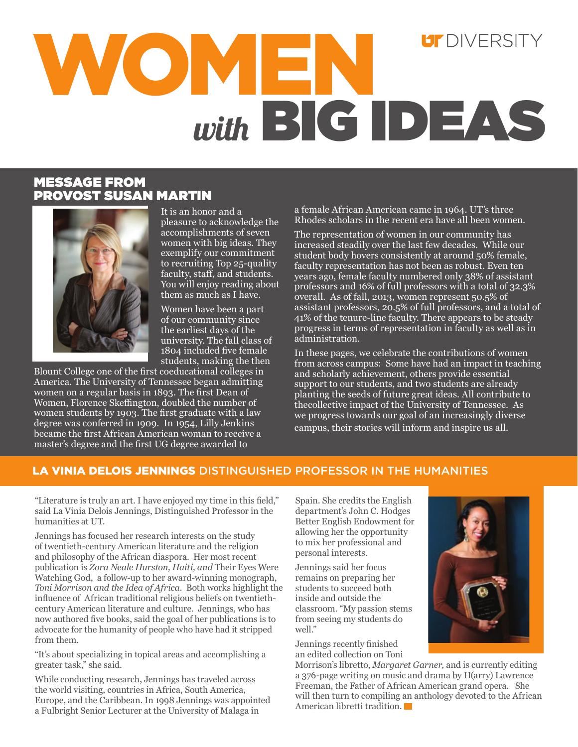# $UT$  DIVERSITY WOMEN *with* BIG IDEAS

## MESSAGE FROM PROVOST SUSAN MARTIN



It is an honor and a pleasure to acknowledge the accomplishments of seven women with big ideas. They exemplify our commitment to recruiting Top 25-quality faculty, staff, and students. You will enjoy reading about them as much as I have.

Women have been a part of our community since the earliest days of the university. The fall class of 1804 included five female students, making the then

Blount College one of the first coeducational colleges in America. The University of Tennessee began admitting women on a regular basis in 1893. The first Dean of Women, Florence Skeffington, doubled the number of women students by 1903. The first graduate with a law degree was conferred in 1909. In 1954, Lilly Jenkins became the first African American woman to receive a master's degree and the first UG degree awarded to

a female African American came in 1964. UT's three Rhodes scholars in the recent era have all been women.

The representation of women in our community has increased steadily over the last few decades. While our student body hovers consistently at around 50% female, faculty representation has not been as robust. Even ten years ago, female faculty numbered only 38% of assistant professors and 16% of full professors with a total of 32.3% overall. As of fall, 2013, women represent 50.5% of assistant professors, 20.5% of full professors, and a total of 41% of the tenure-line faculty. There appears to be steady progress in terms of representation in faculty as well as in administration.

In these pages, we celebrate the contributions of women from across campus: Some have had an impact in teaching and scholarly achievement, others provide essential support to our students, and two students are already planting the seeds of future great ideas. All contribute to thecollective impact of the University of Tennessee. As we progress towards our goal of an increasingly diverse campus, their stories will inform and inspire us all.

## LA VINIA DELOIS JENNINGS DISTINGUISHED PROFESSOR IN THE HUMANITIES

"Literature is truly an art. I have enjoyed my time in this field," said La Vinia Delois Jennings, Distinguished Professor in the humanities at UT.

Jennings has focused her research interests on the study of twentieth-century American literature and the religion and philosophy of the African diaspora. Her most recent publication is *Zora Neale Hurston, Haiti, and* Their Eyes Were Watching God, a follow-up to her award-winning monograph, *Toni Morrison and the Idea of Africa.* Both works highlight the influence of African traditional religious beliefs on twentiethcentury American literature and culture. Jennings, who has now authored five books, said the goal of her publications is to advocate for the humanity of people who have had it stripped from them.

"It's about specializing in topical areas and accomplishing a greater task," she said.

While conducting research, Jennings has traveled across the world visiting, countries in Africa, South America, Europe, and the Caribbean. In 1998 Jennings was appointed a Fulbright Senior Lecturer at the University of Malaga in

Spain. She credits the English department's John C. Hodges Better English Endowment for allowing her the opportunity to mix her professional and personal interests.

Jennings said her focus remains on preparing her students to succeed both inside and outside the classroom. "My passion stems from seeing my students do well."

Jennings recently finished an edited collection on Toni

Morrison's libretto, *Margaret Garner,* and is currently editing a 376-page writing on music and drama by H(arry) Lawrence Freeman, the Father of African American grand opera. She will then turn to compiling an anthology devoted to the African American libretti tradition.

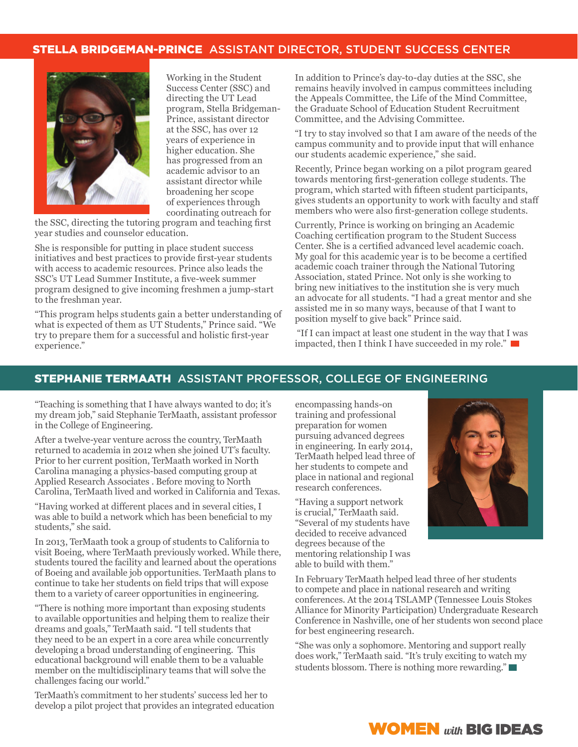#### STELLA BRIDGEMAN-PRINCE ASSISTANT DIRECTOR, STUDENT SUCCESS CENTER



Working in the Student Success Center (SSC) and directing the UT Lead program, Stella Bridgeman-Prince, assistant director at the SSC, has over 12 years of experience in higher education. She has progressed from an academic advisor to an assistant director while broadening her scope of experiences through coordinating outreach for

the SSC, directing the tutoring program and teaching first year studies and counselor education.

She is responsible for putting in place student success initiatives and best practices to provide first-year students with access to academic resources. Prince also leads the SSC's UT Lead Summer Institute, a five-week summer program designed to give incoming freshmen a jump-start to the freshman year.

"This program helps students gain a better understanding of what is expected of them as UT Students," Prince said. "We try to prepare them for a successful and holistic first-year experience."

In addition to Prince's day-to-day duties at the SSC, she remains heavily involved in campus committees including the Appeals Committee, the Life of the Mind Committee, the Graduate School of Education Student Recruitment Committee, and the Advising Committee.

"I try to stay involved so that I am aware of the needs of the campus community and to provide input that will enhance our students academic experience," she said.

Recently, Prince began working on a pilot program geared towards mentoring first-generation college students. The program, which started with fifteen student participants, gives students an opportunity to work with faculty and staff members who were also first-generation college students.

Currently, Prince is working on bringing an Academic Coaching certification program to the Student Success Center. She is a certified advanced level academic coach. My goal for this academic year is to be become a certified academic coach trainer through the National Tutoring Association, stated Prince. Not only is she working to bring new initiatives to the institution she is very much an advocate for all students. "I had a great mentor and she assisted me in so many ways, because of that I want to position myself to give back" Prince said.

 "If I can impact at least one student in the way that I was impacted, then I think I have succeeded in my role." $\blacksquare$ 

#### STEPHANIE TERMAATH ASSISTANT PROFESSOR, COLLEGE OF ENGINEERING

"Teaching is something that I have always wanted to do; it's my dream job," said Stephanie TerMaath, assistant professor in the College of Engineering.

After a twelve-year venture across the country, TerMaath returned to academia in 2012 when she joined UT's faculty. Prior to her current position, TerMaath worked in North Carolina managing a physics-based computing group at Applied Research Associates . Before moving to North Carolina, TerMaath lived and worked in California and Texas.

"Having worked at different places and in several cities, I was able to build a network which has been beneficial to my students," she said.

In 2013, TerMaath took a group of students to California to visit Boeing, where TerMaath previously worked. While there, students toured the facility and learned about the operations of Boeing and available job opportunities. TerMaath plans to continue to take her students on field trips that will expose them to a variety of career opportunities in engineering.

"There is nothing more important than exposing students to available opportunities and helping them to realize their dreams and goals," TerMaath said. "I tell students that they need to be an expert in a core area while concurrently developing a broad understanding of engineering. This educational background will enable them to be a valuable member on the multidisciplinary teams that will solve the challenges facing our world."

TerMaath's commitment to her students' success led her to develop a pilot project that provides an integrated education encompassing hands-on training and professional preparation for women pursuing advanced degrees in engineering. In early 2014, TerMaath helped lead three of her students to compete and place in national and regional research conferences.

"Having a support network is crucial," TerMaath said. "Several of my students have decided to receive advanced degrees because of the mentoring relationship I was able to build with them."

In February TerMaath helped lead three of her students to compete and place in national research and writing conferences. At the 2014 TSLAMP (Tennessee Louis Stokes Alliance for Minority Participation) Undergraduate Research Conference in Nashville, one of her students won second place for best engineering research.

"She was only a sophomore. Mentoring and support really does work," TerMaath said. "It's truly exciting to watch my students blossom. There is nothing more rewarding."



# WOMEN *with* BIG IDEAS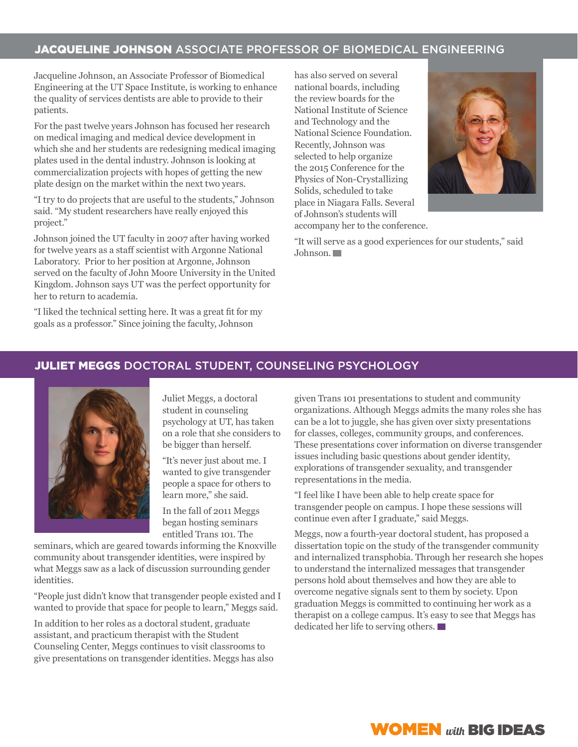## JACQUELINE JOHNSON ASSOCIATE PROFESSOR OF BIOMEDICAL ENGINEERING

Jacqueline Johnson, an Associate Professor of Biomedical Engineering at the UT Space Institute, is working to enhance the quality of services dentists are able to provide to their patients.

For the past twelve years Johnson has focused her research on medical imaging and medical device development in which she and her students are redesigning medical imaging plates used in the dental industry. Johnson is looking at commercialization projects with hopes of getting the new plate design on the market within the next two years.

"I try to do projects that are useful to the students," Johnson said. "My student researchers have really enjoyed this project."

Johnson joined the UT faculty in 2007 after having worked for twelve years as a staff scientist with Argonne National Laboratory. Prior to her position at Argonne, Johnson served on the faculty of John Moore University in the United Kingdom. Johnson says UT was the perfect opportunity for her to return to academia.

"I liked the technical setting here. It was a great fit for my goals as a professor." Since joining the faculty, Johnson

has also served on several national boards, including the review boards for the National Institute of Science and Technology and the National Science Foundation. Recently, Johnson was selected to help organize the 2015 Conference for the Physics of Non-Crystallizing Solids, scheduled to take place in Niagara Falls. Several of Johnson's students will accompany her to the conference.



"It will serve as a good experiences for our students," said Johnson.

# JULIET MEGGS DOCTORAL STUDENT, COUNSELING PSYCHOLOGY



Juliet Meggs, a doctoral student in counseling psychology at UT, has taken on a role that she considers to be bigger than herself.

"It's never just about me. I wanted to give transgender people a space for others to learn more," she said.

In the fall of 2011 Meggs began hosting seminars entitled Trans 101. The

seminars, which are geared towards informing the Knoxville community about transgender identities, were inspired by what Meggs saw as a lack of discussion surrounding gender identities.

"People just didn't know that transgender people existed and I wanted to provide that space for people to learn," Meggs said.

In addition to her roles as a doctoral student, graduate assistant, and practicum therapist with the Student Counseling Center, Meggs continues to visit classrooms to give presentations on transgender identities. Meggs has also

given Trans 101 presentations to student and community organizations. Although Meggs admits the many roles she has can be a lot to juggle, she has given over sixty presentations for classes, colleges, community groups, and conferences. These presentations cover information on diverse transgender issues including basic questions about gender identity, explorations of transgender sexuality, and transgender representations in the media.

"I feel like I have been able to help create space for transgender people on campus. I hope these sessions will continue even after I graduate," said Meggs.

Meggs, now a fourth-year doctoral student, has proposed a dissertation topic on the study of the transgender community and internalized transphobia. Through her research she hopes to understand the internalized messages that transgender persons hold about themselves and how they are able to overcome negative signals sent to them by society. Upon graduation Meggs is committed to continuing her work as a therapist on a college campus. It's easy to see that Meggs has dedicated her life to serving others.